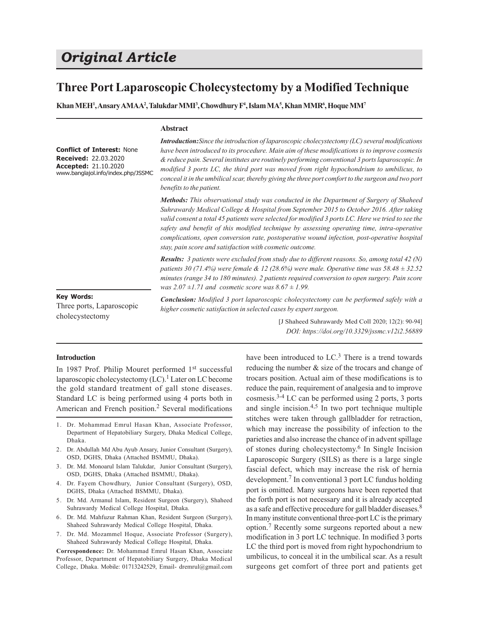# *Original Article*

# **Three Port Laparoscopic Cholecystectomy by a Modified Technique**

**Khan MEH<sup>1</sup> , Ansary AMAA<sup>2</sup> , Talukdar MMI<sup>3</sup> , Chowdhury F<sup>4</sup> , Islam MA<sup>5</sup> , Khan MMR<sup>6</sup> , Hoque MM<sup>7</sup>**

### **Abstract**

**Conflict of Interest:** None **Received:** 22.03.2020 **Accepted:** 21.10.2020 www.banglajol.info/index.php/JSSMC *Introduction:Since the introduction of laparoscopic cholecystectomy (LC) several modifications have been introduced to its procedure. Main aim of these modifications is to improve cosmesis & reduce pain. Several institutes are routinely performing conventional 3 ports laparoscopic. In modified 3 ports LC, the third port was moved from right hypochondrium to umbilicus, to conceal it in the umbilical scar, thereby giving the three port comfort to the surgeon and two port benefits to the patient.*

*Methods: This observational study was conducted in the Department of Surgery of Shaheed Suhrawardy Medical College & Hospital from September 2015 to October 2016. After taking valid consent a total 45 patients were selected for modified 3 ports LC. Here we tried to see the safety and benefit of this modified technique by assessing operating time, intra-operative complications, open conversion rate, postoperative wound infection, post-operative hospital stay, pain score and satisfaction with cosmetic outcome.*

*Results: 3 patients were excluded from study due to different reasons. So, among total 42 (N) patients 30 (71.4%) were female & 12 (28.6%) were male. Operative time was 58.48 ± 32.52 minutes (range 34 to 180 minutes). 2 patients required conversion to open surgery. Pain score was 2.07 ±1.71 and cosmetic score was 8.67 ± 1.99.*

#### **Key Words:**

Three ports, Laparoscopic cholecystectomy

*Conclusion: Modified 3 port laparoscopic cholecystectomy can be performed safely with a higher cosmetic satisfaction in selected cases by expert surgeon.*

> [J Shaheed Suhrawardy Med Coll 2020; 12(2): 90-94] *DOI: https://doi.org/10.3329/jssmc.v12i2.56889*

#### **Introduction**

In 1987 Prof. Philip Mouret performed 1st successful laparoscopic cholecystectomy (LC).<sup>1</sup> Later on LC become the gold standard treatment of gall stone diseases. Standard LC is being performed using 4 ports both in American and French position.<sup>2</sup> Several modifications

- 1. Dr. Mohammad Emrul Hasan Khan, Associate Professor, Department of Hepatobiliary Surgery, Dhaka Medical College, Dhaka.
- 2. Dr. Abdullah Md Abu Ayub Ansary, Junior Consultant (Surgery), OSD, DGHS, Dhaka (Attached BSMMU, Dhaka).
- 3. Dr. Md. Monoarul Islam Talukdar, Junior Consultant (Surgery), OSD, DGHS, Dhaka (Attached BSMMU, Dhaka).
- 4. Dr. Fayem Chowdhury, Junior Consultant (Surgery), OSD, DGHS, Dhaka (Attached BSMMU, Dhaka).
- 5. Dr. Md. Armanul Islam, Resident Surgeon (Surgery), Shaheed Suhrawardy Medical College Hospital, Dhaka.
- 6. Dr. Md. Mahfuzur Rahman Khan, Resident Surgeon (Surgery), Shaheed Suhrawardy Medical College Hospital, Dhaka.
- 7. Dr. Md. Mozammel Hoque, Associate Professor (Surgery), Shaheed Suhrawardy Medical College Hospital, Dhaka.

**Correspondence:** Dr. Mohammad Emrul Hasan Khan, Associate Professor, Department of Hepatobiliary Surgery, Dhaka Medical College, Dhaka. Mobile: 01713242529, Email- dremrul@gmail.com

have been introduced to LC.<sup>3</sup> There is a trend towards reducing the number & size of the trocars and change of trocars position. Actual aim of these modifications is to reduce the pain, requirement of analgesia and to improve cosmesis.3-4 LC can be performed using 2 ports, 3 ports and single incision. $4,5$  In two port technique multiple stitches were taken through gallbladder for retraction, which may increase the possibility of infection to the parieties and also increase the chance of in advent spillage of stones during cholecystectomy.<sup>6</sup> In Single Incision Laparoscopic Surgery (SILS) as there is a large single fascial defect, which may increase the risk of hernia development.<sup>7</sup> In conventional 3 port LC fundus holding port is omitted. Many surgeons have been reported that the forth port is not necessary and it is already accepted as a safe and effective procedure for gall bladder diseases.<sup>8</sup> In many institute conventional three-port LC is the primary option.<sup>7</sup> Recently some surgeons reported about a new modification in 3 port LC technique. In modified 3 ports LC the third port is moved from right hypochondrium to umbilicus, to conceal it in the umbilical scar. As a result surgeons get comfort of three port and patients get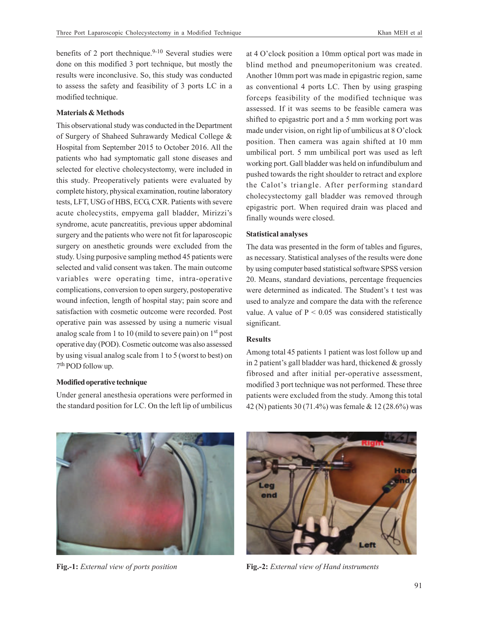benefits of 2 port thechnique. $9-10$  Several studies were done on this modified 3 port technique, but mostly the results were inconclusive. So, this study was conducted to assess the safety and feasibility of 3 ports LC in a modified technique.

# **Materials & Methods**

This observational study was conducted in the Department of Surgery of Shaheed Suhrawardy Medical College & Hospital from September 2015 to October 2016. All the patients who had symptomatic gall stone diseases and selected for elective cholecystectomy, were included in this study. Preoperatively patients were evaluated by complete history, physical examination, routine laboratory tests, LFT, USG of HBS, ECG, CXR. Patients with severe acute cholecystits, empyema gall bladder, Mirizzi's syndrome, acute pancreatitis, previous upper abdominal surgery and the patients who were not fit for laparoscopic surgery on anesthetic grounds were excluded from the study. Using purposive sampling method 45 patients were selected and valid consent was taken. The main outcome variables were operating time, intra-operative complications, conversion to open surgery, postoperative wound infection, length of hospital stay; pain score and satisfaction with cosmetic outcome were recorded. Post operative pain was assessed by using a numeric visual analog scale from 1 to 10 (mild to severe pain) on 1st post operative day (POD). Cosmetic outcome was also assessed by using visual analog scale from 1 to 5 (worst to best) on 7<sup>th</sup> POD follow up.

### **Modified operative technique**

Under general anesthesia operations were performed in the standard position for LC. On the left lip of umbilicus at 4 O'clock position a 10mm optical port was made in blind method and pneumoperitonium was created. Another 10mm port was made in epigastric region, same as conventional 4 ports LC. Then by using grasping forceps feasibility of the modified technique was assessed. If it was seems to be feasible camera was shifted to epigastric port and a 5 mm working port was made under vision, on right lip of umbilicus at 8 O'clock position. Then camera was again shifted at 10 mm umbilical port. 5 mm umbilical port was used as left working port. Gall bladder was held on infundibulum and pushed towards the right shoulder to retract and explore the Calot's triangle. After performing standard cholecystectomy gall bladder was removed through epigastric port. When required drain was placed and finally wounds were closed.

# **Statistical analyses**

The data was presented in the form of tables and figures, as necessary. Statistical analyses of the results were done by using computer based statistical software SPSS version 20. Means, standard deviations, percentage frequencies were determined as indicated. The Student's t test was used to analyze and compare the data with the reference value. A value of  $P < 0.05$  was considered statistically significant.

# **Results**

Among total 45 patients 1 patient was lost follow up and in 2 patient's gall bladder was hard, thickened & grossly fibrosed and after initial per-operative assessment, modified 3 port technique was not performed. These three patients were excluded from the study. Among this total 42 (N) patients 30 (71.4%) was female & 12 (28.6%) was





**Fig.-1:** *External view of ports position* **Fig.-2:** *External view of Hand instruments*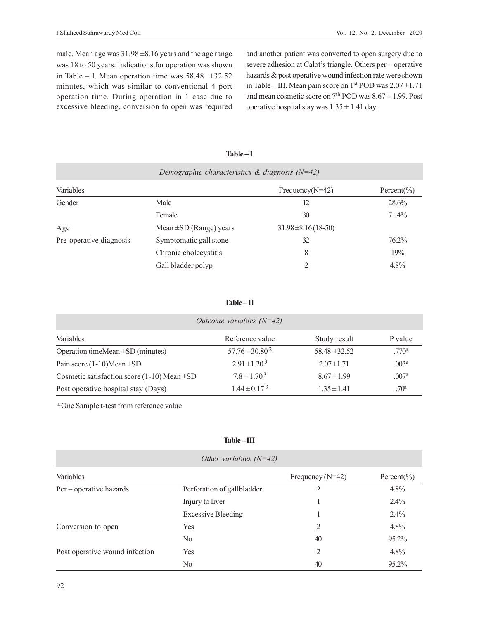male. Mean age was 31.98 ±8.16 years and the age range was 18 to 50 years. Indications for operation was shown in Table – I. Mean operation time was  $58.48 \pm 32.52$ minutes, which was similar to conventional 4 port operation time. During operation in 1 case due to excessive bleeding, conversion to open was required

and another patient was converted to open surgery due to severe adhesion at Calot's triangle. Others per – operative hazards & post operative wound infection rate were shown in Table – III. Mean pain score on  $1<sup>st</sup>$  POD was  $2.07 \pm 1.71$ and mean cosmetic score on  $7<sup>th</sup>$  POD was  $8.67 \pm 1.99$ . Post operative hospital stay was  $1.35 \pm 1.41$  day.

# **Table – I**

| Demographic characteristics & diagnosis $(N=42)$ |                             |                         |            |  |  |
|--------------------------------------------------|-----------------------------|-------------------------|------------|--|--|
| Variables                                        |                             | Frequency( $N=42$ )     | Percent(%) |  |  |
| Gender                                           | Male                        | 12                      | 28.6%      |  |  |
|                                                  | Female                      | 30                      | 71.4%      |  |  |
| Age                                              | Mean $\pm SD$ (Range) years | $31.98 \pm 8.16(18-50)$ |            |  |  |
| Pre-operative diagnosis                          | Symptomatic gall stone      | 32                      | 76.2%      |  |  |
|                                                  | Chronic cholecystitis       | 8                       | 19%        |  |  |
|                                                  | Gall bladder polyp          |                         | 4.8%       |  |  |

# **Table – II**

| Outcome variables $(N=42)$                         |                     |                   |                   |  |  |  |
|----------------------------------------------------|---------------------|-------------------|-------------------|--|--|--|
| Variables                                          | Reference value     | Study result      | P value           |  |  |  |
| Operation timeMean $\pm SD$ (minutes)              | $57.76 \pm 30.80^2$ | $58.48 \pm 32.52$ | .770 <sup>a</sup> |  |  |  |
| Pain score $(1-10)$ Mean $\pm$ SD                  | $2.91 \pm 1.20^{3}$ | $2.07 \pm 1.71$   | .003 <sup>a</sup> |  |  |  |
| Cosmetic satisfaction score $(1-10)$ Mean $\pm$ SD | $7.8 \pm 1.70^3$    | $8.67 \pm 1.99$   | .007 <sup>a</sup> |  |  |  |
| Post operative hospital stay (Days)                | $1.44 \pm 0.17^{3}$ | $1.35 \pm 1.41$   | .70 <sup>a</sup>  |  |  |  |

 $\alpha$  One Sample t-test from reference value

# **Table – III**

| Other variables $(N=42)$       |                            |                    |                 |  |  |  |
|--------------------------------|----------------------------|--------------------|-----------------|--|--|--|
| Variables                      |                            | Frequency $(N=42)$ | Percent $(\% )$ |  |  |  |
| Per – operative hazards        | Perforation of gallbladder | $\mathfrak{D}$     | $4.8\%$         |  |  |  |
|                                | Injury to liver            |                    | $2.4\%$         |  |  |  |
|                                | <b>Excessive Bleeding</b>  |                    | $2.4\%$         |  |  |  |
| Conversion to open             | Yes                        | 2                  | $4.8\%$         |  |  |  |
|                                | N <sub>0</sub>             | 40                 | 95.2%           |  |  |  |
| Post operative wound infection | Yes                        | 2                  | $4.8\%$         |  |  |  |
|                                | N <sub>o</sub>             | 40                 | 95.2%           |  |  |  |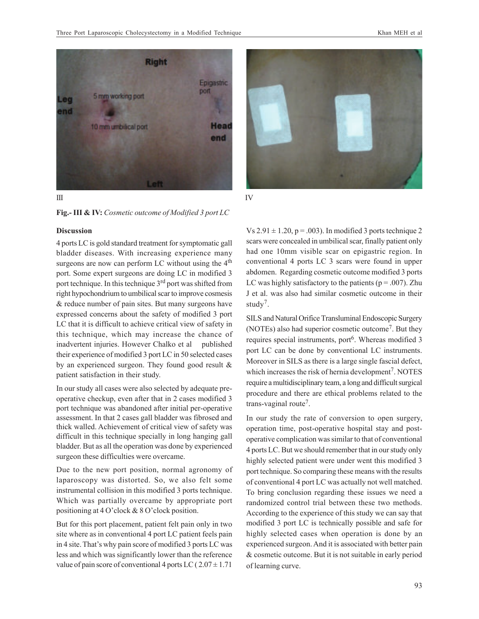



#### **Discussion**

4 ports LC is gold standard treatment for symptomatic gall bladder diseases. With increasing experience many surgeons are now can perform LC without using the 4<sup>th</sup> port. Some expert surgeons are doing LC in modified 3 port technique. In this technique 3<sup>rd</sup> port was shifted from right hypochondrium to umbilical scar to improve cosmesis & reduce number of pain sites. But many surgeons have expressed concerns about the safety of modified 3 port LC that it is difficult to achieve critical view of safety in this technique, which may increase the chance of inadvertent injuries. However Chalko et al published their experience of modified 3 port LC in 50 selected cases by an experienced surgeon. They found good result & patient satisfaction in their study.

In our study all cases were also selected by adequate preoperative checkup, even after that in 2 cases modified 3 port technique was abandoned after initial per-operative assessment. In that 2 cases gall bladder was fibrosed and thick walled. Achievement of critical view of safety was difficult in this technique specially in long hanging gall bladder. But as all the operation was done by experienced surgeon these difficulties were overcame.

Due to the new port position, normal agronomy of laparoscopy was distorted. So, we also felt some instrumental collision in this modified 3 ports technique. Which was partially overcame by appropriate port positioning at 4 O'clock & 8 O'clock position.

But for this port placement, patient felt pain only in two site where as in conventional 4 port LC patient feels pain in 4 site. That's why pain score of modified 3 ports LC was less and which was significantly lower than the reference value of pain score of conventional 4 ports LC ( $2.07 \pm 1.71$ )





Vs  $2.91 \pm 1.20$ , p = .003). In modified 3 ports technique 2 scars were concealed in umbilical scar, finally patient only had one 10mm visible scar on epigastric region. In conventional 4 ports LC 3 scars were found in upper abdomen. Regarding cosmetic outcome modified 3 ports LC was highly satisfactory to the patients ( $p = .007$ ). Zhu J et al. was also had similar cosmetic outcome in their study<sup>7</sup>.

SILS and Natural Orifice Transluminal Endoscopic Surgery (NOTEs) also had superior cosmetic outcome<sup>7</sup> . But they requires special instruments, port<sup>6</sup>. Whereas modified 3 port LC can be done by conventional LC instruments. Moreover in SILS as there is a large single fascial defect, which increases the risk of hernia development<sup>7</sup>. NOTES require a multidisciplinary team, a long and difficult surgical procedure and there are ethical problems related to the trans-vaginal route<sup>7</sup>.

In our study the rate of conversion to open surgery, operation time, post-operative hospital stay and postoperative complication was similar to that of conventional 4 ports LC. But we should remember that in our study only highly selected patient were under went this modified 3 port technique. So comparing these means with the results of conventional 4 port LC was actually not well matched. To bring conclusion regarding these issues we need a randomized control trial between these two methods. According to the experience of this study we can say that modified 3 port LC is technically possible and safe for highly selected cases when operation is done by an experienced surgeon. And it is associated with better pain & cosmetic outcome. But it is not suitable in early period of learning curve.